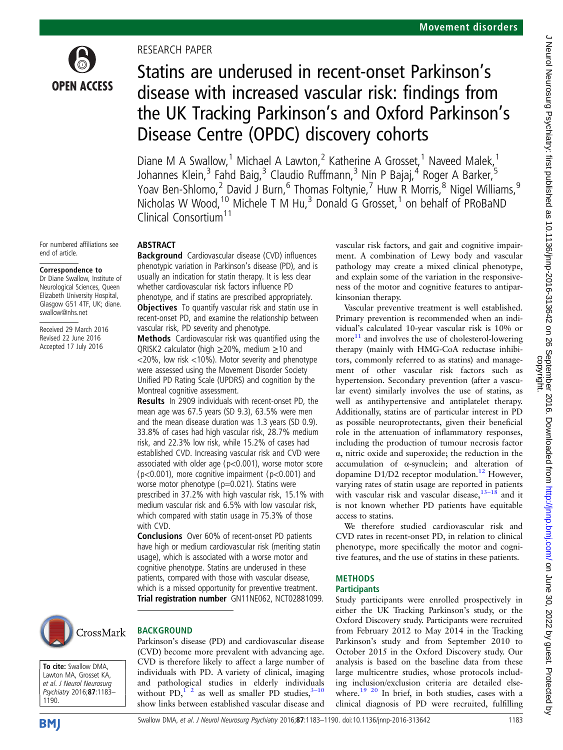

# RESEARCH PAPER

# Statins are underused in recent-onset Parkinson' s disease with increased vascular risk: findings from the UK Tracking Parkinson's and Oxford Parkinson' s Disease Centre (OPDC) discovery cohorts

Diane M A Swallow,<sup>1</sup> Michael A Lawton,<sup>2</sup> Katherine A Grosset,<sup>1</sup> Naveed Malek,<sup>1</sup> Johannes Klein,<sup>3</sup> Fahd Baig,<sup>3</sup> Claudio Ruffmann,<sup>3</sup> Nin P Bajaj,<sup>4</sup> Roger A Barker,<sup>5</sup> Yoav Ben-Shlomo,<sup>2</sup> David J Burn,<sup>6</sup> Thomas Foltynie,<sup>7</sup> Huw R Morris,<sup>8</sup> Nigel Williams,<sup>9</sup> Nicholas W Wood,<sup>10</sup> Michele T M Hu,<sup>3</sup> Donald G Grosset,<sup>1</sup> on behalf of PRoBaND Clinical Consortium<sup>11</sup>

#### For numbered affiliations see ABSTRACT

Correspondence to

end of article.

Dr Diane Swallow, Institute of Neurological Sciences, Queen Elizabeth University Hospital, Glasgow G51 4TF, UK; diane. swallow@nhs.net

Received 29 March 2016 Revised 22 June 2016 Accepted 17 July 2016

Background Cardiovascular disease (CVD) influences phenotypic variation in Parkinson's disease (PD), and is usually an indication for statin therapy. It is less clear whether cardiovascular risk factors influence PD phenotype, and if statins are prescribed appropriately. **Objectives** To quantify vascular risk and statin use in recent-onset PD, and examine the relationship between vascular risk, PD severity and phenotype.

Methods Cardiovascular risk was quantified using the QRISK2 calculator (high ≥20%, medium ≥10 and  $<$ 20%, low risk  $<$ 10%). Motor severity and phenotype were assessed using the Movement Disorder Society Unified PD Rating Scale (UPDRS) and cognition by the Montreal cognitive assessment.

Results In 2909 individuals with recent-onset PD, the mean age was 67.5 years (SD 9.3), 63.5% were men and the mean disease duration was 1.3 years (SD 0.9). 33.8% of cases had high vascular risk, 28.7% medium risk, and 22.3% low risk, while 15.2% of cases had established CVD. Increasing vascular risk and CVD were associated with older age ( $p<0.001$ ), worse motor score (p<0.001), more cognitive impairment (p<0.001) and worse motor phenotype (p=0.021). Statins were prescribed in 37.2% with high vascular risk, 15.1% with medium vascular risk and 6.5% with low vascular risk, which compared with statin usage in 75.3% of those with CVD.

Conclusions Over 60% of recent-onset PD patients have high or medium cardiovascular risk (meriting statin usage), which is associated with a worse motor and cognitive phenotype. Statins are underused in these patients, compared with those with vascular disease, which is a missed opportunity for preventive treatment. Trial registration number GN11NE062, NCT02881099.

Parkinson's disease (PD) and cardiovascular disease



## BACKGROUND

To cite: Swallow DMA, Lawton MA, Grosset KA, et al. J Neurol Neurosurg Psychiatry 2016;87:1183-(CVD) become more prevalent with advancing age. CVD is therefore likely to affect a large number of individuals with PD. A variety of clinical, imaging and pathological studies in elderly individuals without PD,<sup>[1 2](#page-6-0)</sup> as well as smaller PD studies,  $3-10$  $3-10$ show links between established vascular disease and

vascular risk factors, and gait and cognitive impairment. A combination of Lewy body and vascular pathology may create a mixed clinical phenotype, and explain some of the variation in the responsiveness of the motor and cognitive features to antiparkinsonian therapy.

Vascular preventive treatment is well established. Primary prevention is recommended when an individual's calculated 10-year vascular risk is 10% or more $^{11}$  and involves the use of cholesterol-lowering therapy (mainly with HMG-CoA reductase inhibitors, commonly referred to as statins) and management of other vascular risk factors such as hypertension. Secondary prevention (after a vascular event) similarly involves the use of statins, as well as antihypertensive and antiplatelet therapy. Additionally, statins are of particular interest in PD as possible neuroprotectants, given their beneficial role in the attenuation of inflammatory responses, including the production of tumour necrosis factor α, nitric oxide and superoxide; the reduction in the accumulation of α-synuclein; and alteration of dopamine D1/D2 receptor modulation.<sup>12</sup> However, varying rates of statin usage are reported in patients with vascular risk and vascular disease, $13-18$  and it is not known whether PD patients have equitable access to statins.

We therefore studied cardiovascular risk and CVD rates in recent-onset PD, in relation to clinical phenotype, more specifically the motor and cognitive features, and the use of statins in these patients.

# METHODS

### **Participants**

Study participants were enrolled prospectively in either the UK Tracking Parkinson's study, or the Oxford Discovery study. Participants were recruited from February 2012 to May 2014 in the Tracking Parkinson's study and from September 2010 to October 2015 in the Oxford Discovery study. Our analysis is based on the baseline data from these large multicentre studies, whose protocols including inclusion/exclusion criteria are detailed else-where.<sup>[19 20](#page-6-0)</sup> In brief, in both studies, cases with a clinical diagnosis of PD were recruited, fulfilling

1190.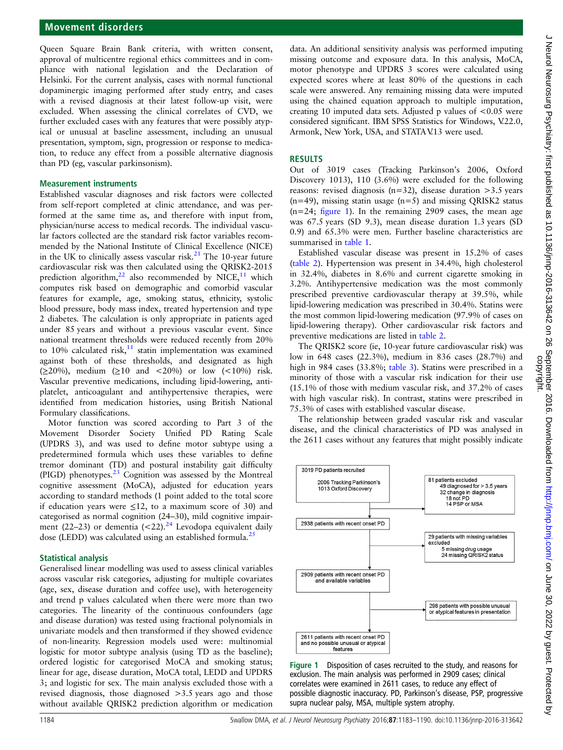Queen Square Brain Bank criteria, with written consent, approval of multicentre regional ethics committees and in compliance with national legislation and the Declaration of Helsinki. For the current analysis, cases with normal functional dopaminergic imaging performed after study entry, and cases with a revised diagnosis at their latest follow-up visit, were excluded. When assessing the clinical correlates of CVD, we further excluded cases with any features that were possibly atypical or unusual at baseline assessment, including an unusual presentation, symptom, sign, progression or response to medication, to reduce any effect from a possible alternative diagnosis than PD (eg, vascular parkinsonism).

#### Measurement instruments

Established vascular diagnoses and risk factors were collected from self-report completed at clinic attendance, and was performed at the same time as, and therefore with input from, physician/nurse access to medical records. The individual vascular factors collected are the standard risk factor variables recommended by the National Institute of Clinical Excellence (NICE) in the UK to clinically assess vascular risk. $^{21}$  $^{21}$  $^{21}$  The 10-year future cardiovascular risk was then calculated using the QRISK2-2015 prediction algorithm,<sup>[22](#page-6-0)</sup> also recommended by NICE,<sup>[11](#page-6-0)</sup> which computes risk based on demographic and comorbid vascular features for example, age, smoking status, ethnicity, systolic blood pressure, body mass index, treated hypertension and type 2 diabetes. The calculation is only appropriate in patients aged under 85 years and without a previous vascular event. Since national treatment thresholds were reduced recently from 20% to 10% calculated risk, $11$  statin implementation was examined against both of these thresholds, and designated as high ( $\geq$ 20%), medium ( $\geq$ 10 and <20%) or low (<10%) risk. Vascular preventive medications, including lipid-lowering, antiplatelet, anticoagulant and antihypertensive therapies, were identified from medication histories, using British National Formulary classifications.

Motor function was scored according to Part 3 of the Movement Disorder Society Unified PD Rating Scale (UPDRS 3), and was used to define motor subtype using a predetermined formula which uses these variables to define tremor dominant (TD) and postural instability gait difficulty (PIGD) phenotypes.<sup>[23](#page-6-0)</sup> Cognition was assessed by the Montreal cognitive assessment (MoCA), adjusted for education years according to standard methods (1 point added to the total score if education years were  $\leq 12$ , to a maximum score of 30) and categorised as normal cognition (24–30), mild cognitive impairment (22–23) or dementia  $(*22*)$ .<sup>[24](#page-6-0)</sup> Levodopa equivalent daily dose (LEDD) was calculated using an established formula.<sup>[25](#page-6-0)</sup>

### Statistical analysis

Generalised linear modelling was used to assess clinical variables across vascular risk categories, adjusting for multiple covariates (age, sex, disease duration and coffee use), with heterogeneity and trend p values calculated when there were more than two categories. The linearity of the continuous confounders (age and disease duration) was tested using fractional polynomials in univariate models and then transformed if they showed evidence of non-linearity. Regression models used were: multinomial logistic for motor subtype analysis (using TD as the baseline); ordered logistic for categorised MoCA and smoking status; linear for age, disease duration, MoCA total, LEDD and UPDRS 3; and logistic for sex. The main analysis excluded those with a revised diagnosis, those diagnosed >3.5 years ago and those without available QRISK2 prediction algorithm or medication

data. An additional sensitivity analysis was performed imputing missing outcome and exposure data. In this analysis, MoCA, motor phenotype and UPDRS 3 scores were calculated using expected scores where at least 80% of the questions in each scale were answered. Any remaining missing data were imputed using the chained equation approach to multiple imputation, creating 10 imputed data sets. Adjusted p values of <0.05 were considered significant. IBM SPSS Statistics for Windows, V.22.0, Armonk, New York, USA, and STATAV.13 were used.

# RESULTS

Out of 3019 cases (Tracking Parkinson's 2006, Oxford Discovery 1013), 110 (3.6%) were excluded for the following reasons: revised diagnosis ( $n=32$ ), disease duration >3.5 years  $(n=49)$ , missing statin usage  $(n=5)$  and missing QRISK2 status  $(n=24;$  figure 1). In the remaining 2909 cases, the mean age was 67.5 years (SD 9.3), mean disease duration 1.3 years (SD 0.9) and 65.3% were men. Further baseline characteristics are summarised in [table 1.](#page-2-0)

Established vascular disease was present in 15.2% of cases ([table 2](#page-2-0)). Hypertension was present in 34.4%, high cholesterol in 32.4%, diabetes in 8.6% and current cigarette smoking in 3.2%. Antihypertensive medication was the most commonly prescribed preventive cardiovascular therapy at 39.5%, while lipid-lowering medication was prescribed in 30.4%. Statins were the most common lipid-lowering medication (97.9% of cases on lipid-lowering therapy). Other cardiovascular risk factors and preventive medications are listed in [table 2.](#page-2-0)

The QRISK2 score (ie, 10-year future cardiovascular risk) was low in 648 cases (22.3%), medium in 836 cases (28.7%) and high in 984 cases (33.8%; [table 3](#page-2-0)). Statins were prescribed in a minority of those with a vascular risk indication for their use (15.1% of those with medium vascular risk, and 37.2% of cases with high vascular risk). In contrast, statins were prescribed in 75.3% of cases with established vascular disease.

The relationship between graded vascular risk and vascular disease, and the clinical characteristics of PD was analysed in the 2611 cases without any features that might possibly indicate



Figure 1 Disposition of cases recruited to the study, and reasons for exclusion. The main analysis was performed in 2909 cases; clinical correlates were examined in 2611 cases, to reduce any effect of possible diagnostic inaccuracy. PD, Parkinson's disease, PSP, progressive supra nuclear palsy, MSA, multiple system atrophy.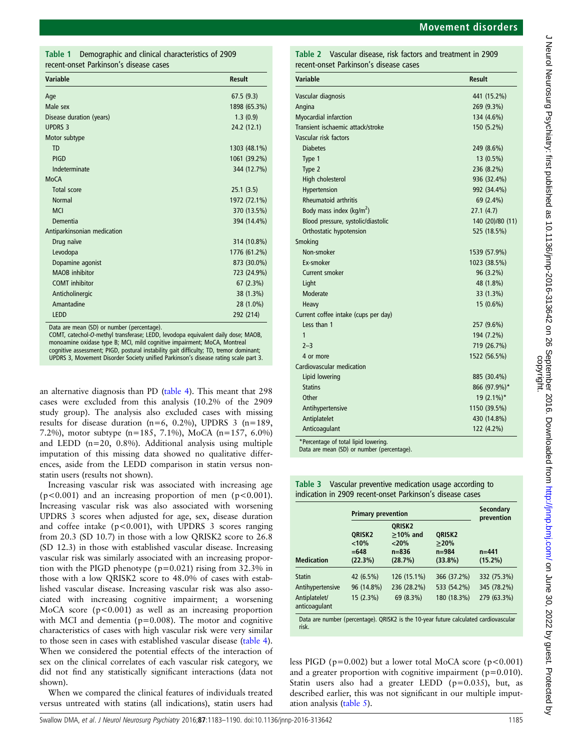<span id="page-2-0"></span>

| Table 1 Demographic and clinical characteristics of 2909 |
|----------------------------------------------------------|
| recent-onset Parkinson's disease cases                   |

| Variable                    | <b>Result</b> |
|-----------------------------|---------------|
| Age                         | 67.5(9.3)     |
| Male sex                    | 1898 (65.3%)  |
| Disease duration (years)    | 1.3(0.9)      |
| <b>UPDRS 3</b>              | 24.2 (12.1)   |
| Motor subtype               |               |
| <b>TD</b>                   | 1303 (48.1%)  |
| <b>PIGD</b>                 | 1061 (39.2%)  |
| Indeterminate               | 344 (12.7%)   |
| <b>MoCA</b>                 |               |
| Total score                 | 25.1(3.5)     |
| Normal                      | 1972 (72.1%)  |
| <b>MCI</b>                  | 370 (13.5%)   |
| Dementia                    | 394 (14.4%)   |
| Antiparkinsonian medication |               |
| Drug naïve                  | 314 (10.8%)   |
| Levodopa                    | 1776 (61.2%)  |
| Dopamine agonist            | 873 (30.0%)   |
| <b>MAOB</b> inhibitor       | 723 (24.9%)   |
| <b>COMT</b> inhibitor       | 67(2.3%)      |
| Anticholinergic             | 38 (1.3%)     |
| Amantadine                  | 28 (1.0%)     |
| <b>LEDD</b>                 | 292 (214)     |

COMT, catechol-O-methyl transferase; LEDD, levodopa equivalent daily dose; MAOB, monoamine oxidase type B; MCI, mild cognitive impairment; MoCA, Montreal cognitive assessment; PIGD, postural instability gait difficulty; TD, tremor dominant; UPDRS 3, Movement Disorder Society unified Parkinson's disease rating scale part 3.

an alternative diagnosis than PD ([table 4](#page-3-0)). This meant that 298 cases were excluded from this analysis (10.2% of the 2909 study group). The analysis also excluded cases with missing results for disease duration  $(n=6, 0.2\%)$ , UPDRS 3  $(n=189, 1.2\%)$ 7.2%), motor subtype (n=185, 7.1%), MoCA (n=157, 6.0%) and LEDD (n=20, 0.8%). Additional analysis using multiple imputation of this missing data showed no qualitative differences, aside from the LEDD comparison in statin versus nonstatin users (results not shown).

Increasing vascular risk was associated with increasing age ( $p$ <0.001) and an increasing proportion of men ( $p$ <0.001). Increasing vascular risk was also associated with worsening UPDRS 3 scores when adjusted for age, sex, disease duration and coffee intake ( $p$ <0.001), with UPDRS 3 scores ranging from 20.3 (SD 10.7) in those with a low QRISK2 score to 26.8 (SD 12.3) in those with established vascular disease. Increasing vascular risk was similarly associated with an increasing proportion with the PIGD phenotype (p=0.021) rising from 32.3% in those with a low QRISK2 score to 48.0% of cases with established vascular disease. Increasing vascular risk was also associated with increasing cognitive impairment; a worsening MoCA score  $(p<0.001)$  as well as an increasing proportion with MCI and dementia ( $p=0.008$ ). The motor and cognitive characteristics of cases with high vascular risk were very similar to those seen in cases with established vascular disease [\(table 4](#page-3-0)). When we considered the potential effects of the interaction of sex on the clinical correlates of each vascular risk category, we did not find any statistically significant interactions (data not shown).

When we compared the clinical features of individuals treated versus untreated with statins (all indications), statin users had Table 2 Vascular disease, risk factors and treatment in 2909 recent-onset Parkinson's disease cases

| Variable                             | <b>Result</b>    |
|--------------------------------------|------------------|
| Vascular diagnosis                   | 441 (15.2%)      |
| Angina                               | 269 (9.3%)       |
| Myocardial infarction                | 134 (4.6%)       |
| Transient ischaemic attack/stroke    | 150 (5.2%)       |
| Vascular risk factors                |                  |
| <b>Diabetes</b>                      | 249 (8.6%)       |
| Type 1                               | 13 (0.5%)        |
| Type 2                               | 236 (8.2%)       |
| High cholesterol                     | 936 (32.4%)      |
| Hypertension                         | 992 (34.4%)      |
| <b>Rheumatoid arthritis</b>          | 69 (2.4%)        |
| Body mass index (kg/m <sup>2</sup> ) | 27.1(4.7)        |
| Blood pressure, systolic/diastolic   | 140 (20)/80 (11) |
| Orthostatic hypotension              | 525 (18.5%)      |
| Smoking                              |                  |
| Non-smoker                           | 1539 (57.9%)     |
| Ex-smoker                            | 1023 (38.5%)     |
| Current smoker                       | 96 (3.2%)        |
| Light                                | 48 (1.8%)        |
| Moderate                             | 33 (1.3%)        |
| Heavy                                | 15 (0.6%)        |
| Current coffee intake (cups per day) |                  |
| Less than 1                          | 257 (9.6%)       |
| 1                                    | 194 (7.2%)       |
| $2 - 3$                              | 719 (26.7%)      |
| 4 or more                            | 1522 (56.5%)     |
| Cardiovascular medication            |                  |
| Lipid lowering                       | 885 (30.4%)      |
| <b>Statins</b>                       | 866 (97.9%)*     |
| Other                                | $19(2.1\%)*$     |
| Antihypertensive                     | 1150 (39.5%)     |
| Antiplatelet                         | 430 (14.8%)      |
| Anticoagulant                        | 122 (4.2%)       |
| *Percentage of total lipid lowering. |                  |

Data are mean (SD) or number (percentage).

Table 3 Vascular preventive medication usage according to indication in 2909 recent-onset Parkinson's disease cases

|                                | <b>Primary prevention</b>                        | Secondary<br>prevention                                                 |                                                       |                         |
|--------------------------------|--------------------------------------------------|-------------------------------------------------------------------------|-------------------------------------------------------|-------------------------|
| <b>Medication</b>              | QRISK <sub>2</sub><br>< 10%<br>$=648$<br>(22.3%) | QRISK <sub>2</sub><br>$\geq$ 10% and<br>$<$ 20%<br>$n = 836$<br>(28.7%) | QRISK <sub>2</sub><br>>20%<br>$n = 984$<br>$(33.8\%)$ | $n = 441$<br>$(15.2\%)$ |
| <b>Statin</b>                  | 42 (6.5%)                                        | 126 (15.1%)                                                             | 366 (37.2%)                                           | 332 (75.3%)             |
| Antihypertensive               | 96 (14.8%)                                       | 236 (28.2%)                                                             | 533 (54.2%)                                           | 345 (78.2%)             |
| Antiplatelet/<br>anticoagulant | $15(2.3\%)$                                      | 69 (8.3%)                                                               | 180 (18.3%)                                           | 279 (63.3%)             |

Data are number (percentage). QRISK2 is the 10-year future calculated cardiovascular risk.

less PIGD ( $p=0.002$ ) but a lower total MoCA score ( $p<0.001$ ) and a greater proportion with cognitive impairment ( $p=0.010$ ). Statin users also had a greater LEDD ( $p=0.035$ ), but, as described earlier, this was not significant in our multiple imputation analysis  $(table 5)$ .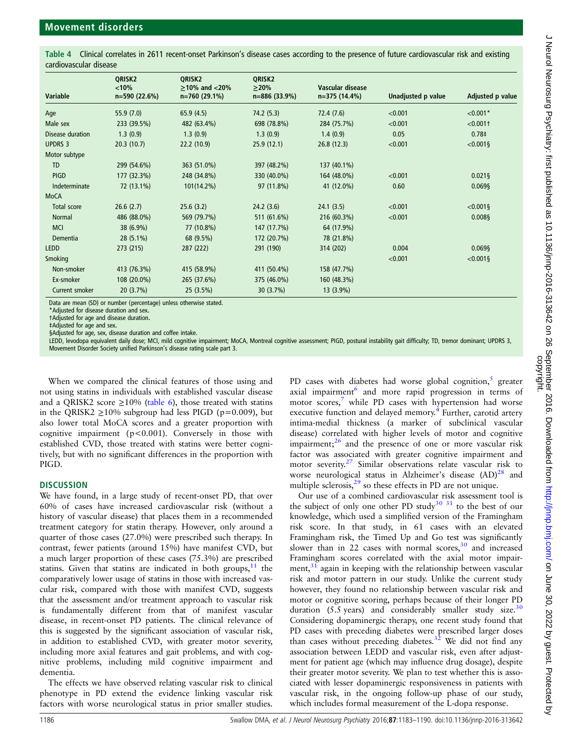<span id="page-3-0"></span>Table 4 Clinical correlates in 2611 recent-onset Parkinson's disease cases according to the presence of future cardiovascular risk and existing cardiovascular disease

|                  | QRISK <sub>2</sub>      | QRISK <sub>2</sub>                     | QRISK <sub>2</sub>        |                                     |                    |                   |
|------------------|-------------------------|----------------------------------------|---------------------------|-------------------------------------|--------------------|-------------------|
| Variable         | < 10%<br>$n=590(22.6%)$ | $\geq$ 10% and <20%<br>$n=760(29.1\%)$ | $>20\%$<br>$n=886(33.9%)$ | Vascular disease<br>$n=375(14.4\%)$ | Unadjusted p value | Adjusted p value  |
| Age              | 55.9(7.0)               | 65.9(4.5)                              | 74.2 (5.3)                | 72.4 (7.6)                          | < 0.001            | $< 0.001*$        |
| Male sex         | 233 (39.5%)             | 482 (63.4%)                            | 698 (78.8%)               | 284 (75.7%)                         | < 0.001            | $< 0.001$ †       |
| Disease duration | 1.3(0.9)                | 1.3(0.9)                               | 1.3(0.9)                  | 1.4(0.9)                            | 0.05               | 0.78 <sup>‡</sup> |
| <b>UPDRS 3</b>   | 20.3(10.7)              | 22.2(10.9)                             | 25.9(12.1)                | 26.8(12.3)                          | < 0.001            | $< 0.001$ §       |
| Motor subtype    |                         |                                        |                           |                                     |                    |                   |
| <b>TD</b>        | 299 (54.6%)             | 363 (51.0%)                            | 397 (48.2%)               | 137 (40.1%)                         |                    |                   |
| <b>PIGD</b>      | 177 (32.3%)             | 248 (34.8%)                            | 330 (40.0%)               | 164 (48.0%)                         | < 0.001            | $0.021\S$         |
| Indeterminate    | 72 (13.1%)              | 101(14.2%)                             | 97 (11.8%)                | 41 (12.0%)                          | 0.60               | $0.069$ §         |
| <b>MoCA</b>      |                         |                                        |                           |                                     |                    |                   |
| Total score      | 26.6(2.7)               | 25.6(3.2)                              | 24.2(3.6)                 | 24.1(3.5)                           | < 0.001            | $< 0.001$ §       |
| Normal           | 486 (88.0%)             | 569 (79.7%)                            | 511 (61.6%)               | 216 (60.3%)                         | < 0.001            | $0.008$ §         |
| <b>MCI</b>       | 38 (6.9%)               | 77 (10.8%)                             | 147 (17.7%)               | 64 (17.9%)                          |                    |                   |
| Dementia         | $28(5.1\%)$             | 68 (9.5%)                              | 172 (20.7%)               | 78 (21.8%)                          |                    |                   |
| <b>LEDD</b>      | 273 (215)               | 287 (222)                              | 291 (190)                 | 314 (202)                           | 0.004              | $0.069$ §         |
| Smoking          |                         |                                        |                           |                                     | < 0.001            | $< 0.001$ §       |
| Non-smoker       | 413 (76.3%)             | 415 (58.9%)                            | 411 (50.4%)               | 158 (47.7%)                         |                    |                   |
| Ex-smoker        | 108 (20.0%)             | 265 (37.6%)                            | 375 (46.0%)               | 160 (48.3%)                         |                    |                   |
| Current smoker   | 20(3.7%)                | 25(3.5%)                               | 30 (3.7%)                 | 13 (3.9%)                           |                    |                   |

Data are mean (SD) or number (percentage) unless otherwise stated.

\*Adjusted for disease duration and sex.

†Adjusted for age and disease duration. ‡Adjusted for age and sex.

§Adjusted for age, sex, disease duration and coffee intake.

LEDD, levodopa equivalent daily dose; MCI, mild cognitive impairment; MoCA, Montreal cognitive assessment; PIGD, postural instability gait difficulty; TD, tremor dominant; UPDRS 3, Movement Disorder Society unified Parkinson's disease rating scale part 3.

When we compared the clinical features of those using and not using statins in individuals with established vascular disease and a QRISK2 score  $\geq$ 10% ([table 6\)](#page-5-0), those treated with statins in the QRISK2  $\geq$ 10% subgroup had less PIGD (p=0.009), but also lower total MoCA scores and a greater proportion with cognitive impairment ( $p$ <0.001). Conversely in those with established CVD, those treated with statins were better cognitively, but with no significant differences in the proportion with PIGD.

### **DISCUSSION**

We have found, in a large study of recent-onset PD, that over 60% of cases have increased cardiovascular risk (without a history of vascular disease) that places them in a recommended treatment category for statin therapy. However, only around a quarter of those cases (27.0%) were prescribed such therapy. In contrast, fewer patients (around 15%) have manifest CVD, but a much larger proportion of these cases (75.3%) are prescribed statins. Given that statins are indicated in both groups, $11$  the comparatively lower usage of statins in those with increased vascular risk, compared with those with manifest CVD, suggests that the assessment and/or treatment approach to vascular risk is fundamentally different from that of manifest vascular disease, in recent-onset PD patients. The clinical relevance of this is suggested by the significant association of vascular risk, in addition to established CVD, with greater motor severity, including more axial features and gait problems, and with cognitive problems, including mild cognitive impairment and dementia.

The effects we have observed relating vascular risk to clinical phenotype in PD extend the evidence linking vascular risk factors with worse neurological status in prior smaller studies.

PD cases with diabetes had worse global cognition, $5$  greater axial impairment<sup>[6](#page-6-0)</sup> and more rapid progression in terms of motor scores,<sup>[7](#page-6-0)</sup> while PD cases with hypertension had worse executive function and delayed memory.<sup>[4](#page-6-0)</sup> Further, carotid artery intima-medial thickness (a marker of subclinical vascular disease) correlated with higher levels of motor and cognitive impairment; $^{26}$  $^{26}$  $^{26}$  and the presence of one or more vascular risk factor was associated with greater cognitive impairment and motor severity.[27](#page-6-0) Similar observations relate vascular risk to worse neurological status in Alzheimer's disease  $(AD)^{28}$  and multiple sclerosis, $2^9$  so these effects in PD are not unique.

Our use of a combined cardiovascular risk assessment tool is the subject of only one other PD study<sup>[30 31](#page-7-0)</sup> to the best of our knowledge, which used a simplified version of the Framingham risk score. In that study, in 61 cases with an elevated Framingham risk, the Timed Up and Go test was significantly slower than in 22 cases with normal scores,  $30$  and increased Framingham scores correlated with the axial motor impairment, $31$  again in keeping with the relationship between vascular risk and motor pattern in our study. Unlike the current study however, they found no relationship between vascular risk and motor or cognitive scoring, perhaps because of their longer PD duration (5.5 years) and considerably smaller study size.<sup>[30](#page-7-0)</sup> Considering dopaminergic therapy, one recent study found that PD cases with preceding diabetes were prescribed larger doses than cases without preceding diabetes. $32$  We did not find any association between LEDD and vascular risk, even after adjustment for patient age (which may influence drug dosage), despite their greater motor severity. We plan to test whether this is associated with lesser dopaminergic responsiveness in patients with vascular risk, in the ongoing follow-up phase of our study, which includes formal measurement of the L-dopa response.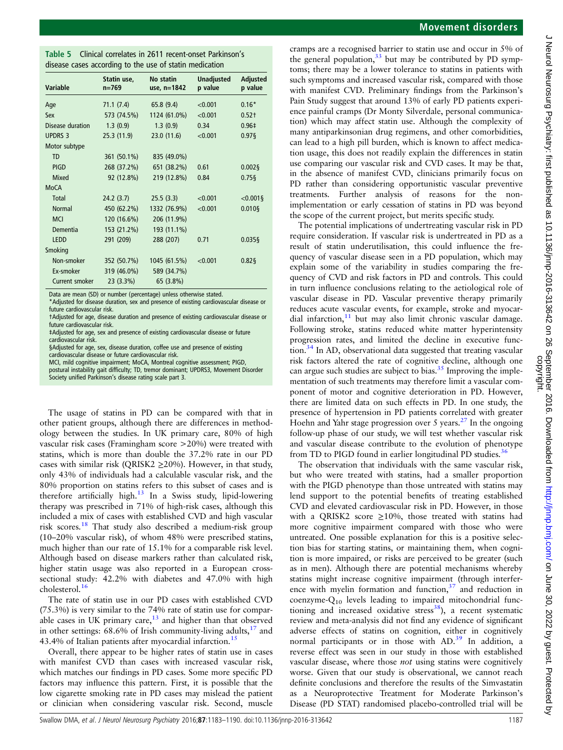<span id="page-4-0"></span>

| Variable         | Statin use,<br>$n = 769$ |              | <b>Unadjusted</b><br>p value | <b>Adjusted</b><br>p value |  |
|------------------|--------------------------|--------------|------------------------------|----------------------------|--|
| Age              | 71.1(7.4)                | 65.8(9.4)    | < 0.001                      | $0.16*$                    |  |
| Sex              | 573 (74.5%)              | 1124 (61.0%) | < 0.001                      | $0.52+$                    |  |
| Disease duration | 1.3(0.9)                 | 1.3(0.9)     | 0.34                         | 0.96 <sup>‡</sup>          |  |
| <b>UPDRS 3</b>   | 25.3 (11.9)              | 23.0(11.6)   | < 0.001                      | $0.97$ §                   |  |
| Motor subtype    |                          |              |                              |                            |  |
| <b>TD</b>        | 361 (50.1%)              | 835 (49.0%)  |                              |                            |  |
| <b>PIGD</b>      | 268 (37.2%)              | 651 (38.2%)  | 0.61                         | $0.002$ §                  |  |
| Mixed            | 92 (12.8%)               | 219 (12.8%)  | 0.84                         | $0.75$ §                   |  |
| <b>MoCA</b>      |                          |              |                              |                            |  |
| Total            | 24.2(3.7)                | 25.5(3.3)    | < 0.001                      | $< 0.001$ §                |  |
| <b>Normal</b>    | 450 (62.2%)              | 1332 (76.9%) | < 0.001                      | $0.010$ §                  |  |
| <b>MCI</b>       | 120 (16.6%)              | 206 (11.9%)  |                              |                            |  |
| Dementia         | 153 (21.2%)              | 193 (11.1%)  |                              |                            |  |
| LEDD             | 291 (209)                | 288 (207)    | 0.71                         | $0.035$ §                  |  |
| Smoking          |                          |              |                              |                            |  |
| Non-smoker       | 352 (50.7%)              | 1045 (61.5%) | < 0.001                      | $0.82$ §                   |  |
| Ex-smoker        | 319 (46.0%)              | 589 (34.7%)  |                              |                            |  |
| Current smoker   | 23 (3.3%)                | 65 (3.8%)    |                              |                            |  |

Data are mean (SD) or number (percentage) unless otherwise stated.

\*Adjusted for disease duration, sex and presence of existing cardiovascular disease or future cardiovascular risk.

†Adjusted for age, disease duration and presence of existing cardiovascular disease or future cardiovascular risk.

‡Adjusted for age, sex and presence of existing cardiovascular disease or future cardiovascular risk.

§Adjusted for age, sex, disease duration, coffee use and presence of existing cardiovascular disease or future cardiovascular risk.

MCI, mild cognitive impairment; MoCA, Montreal cognitive assessment; PIGD, postural instability gait difficulty; TD, tremor dominant; UPDRS3, Movement Disorder Society unified Parkinson's disease rating scale part 3.

The usage of statins in PD can be compared with that in other patient groups, although there are differences in methodology between the studies. In UK primary care, 80% of high vascular risk cases (Framingham score >20%) were treated with statins, which is more than double the 37.2% rate in our PD cases with similar risk (QRISK2  $\geq$ 20%). However, in that study, only 43% of individuals had a calculable vascular risk, and the 80% proportion on statins refers to this subset of cases and is therefore artificially high. $13$  In a Swiss study, lipid-lowering therapy was prescribed in 71% of high-risk cases, although this included a mix of cases with established CVD and high vascular risk scores.[18](#page-6-0) That study also described a medium-risk group (10–20% vascular risk), of whom 48% were prescribed statins, much higher than our rate of 15.1% for a comparable risk level. Although based on disease markers rather than calculated risk, higher statin usage was also reported in a European crosssectional study: 42.2% with diabetes and 47.0% with high cholesterol.[16](#page-6-0)

The rate of statin use in our PD cases with established CVD (75.3%) is very similar to the 74% rate of statin use for comparable cases in UK primary care, $13$  and higher than that observed in other settings:  $68.6\%$  of Irish community-living adults,  $17$  and 43.4% of Italian patients after myocardial infarction.<sup>[15](#page-6-0)</sup>

Overall, there appear to be higher rates of statin use in cases with manifest CVD than cases with increased vascular risk, which matches our findings in PD cases. Some more specific PD factors may influence this pattern. First, it is possible that the low cigarette smoking rate in PD cases may mislead the patient or clinician when considering vascular risk. Second, muscle

cramps are a recognised barrier to statin use and occur in 5% of the general population,<sup>[33](#page-7-0)</sup> but may be contributed by PD symptoms; there may be a lower tolerance to statins in patients with such symptoms and increased vascular risk, compared with those with manifest CVD. Preliminary findings from the Parkinson's Pain Study suggest that around 13% of early PD patients experience painful cramps (Dr Monty Silverdale, personal communication) which may affect statin use. Although the complexity of many antiparkinsonian drug regimens, and other comorbidities, can lead to a high pill burden, which is known to affect medication usage, this does not readily explain the differences in statin use comparing our vascular risk and CVD cases. It may be that, in the absence of manifest CVD, clinicians primarily focus on PD rather than considering opportunistic vascular preventive treatments. Further analysis of reasons for the nonimplementation or early cessation of statins in PD was beyond the scope of the current project, but merits specific study.

The potential implications of undertreating vascular risk in PD require consideration. If vascular risk is undertreated in PD as a result of statin underutilisation, this could influence the frequency of vascular disease seen in a PD population, which may explain some of the variability in studies comparing the frequency of CVD and risk factors in PD and controls. This could in turn influence conclusions relating to the aetiological role of vascular disease in PD. Vascular preventive therapy primarily reduces acute vascular events, for example, stroke and myocardial infarction, $11$  but may also limit chronic vascular damage. Following stroke, statins reduced white matter hyperintensity progression rates, and limited the decline in executive function.<sup>34</sup> In AD, observational data suggested that treating vascular risk factors altered the rate of cognitive decline, although one can argue such studies are subject to bias. $35$  Improving the implementation of such treatments may therefore limit a vascular component of motor and cognitive deterioration in PD. However, there are limited data on such effects in PD. In one study, the presence of hypertension in PD patients correlated with greater Hoehn and Yahr stage progression over 5 years.<sup>27</sup> In the ongoing follow-up phase of our study, we will test whether vascular risk and vascular disease contribute to the evolution of phenotype from TD to PIGD found in earlier longitudinal PD studies.<sup>[36](#page-7-0)</sup>

The observation that individuals with the same vascular risk, but who were treated with statins, had a smaller proportion with the PIGD phenotype than those untreated with statins may lend support to the potential benefits of treating established CVD and elevated cardiovascular risk in PD. However, in those with a QRISK2 score  $\geq 10\%$ , those treated with statins had more cognitive impairment compared with those who were untreated. One possible explanation for this is a positive selection bias for starting statins, or maintaining them, when cognition is more impaired, or risks are perceived to be greater (such as in men). Although there are potential mechanisms whereby statins might increase cognitive impairment (through interference with myelin formation and function, $37$  and reduction in coenzyme-Q10 levels leading to impaired mitochondrial func-tioning and increased oxidative stress<sup>[38](#page-7-0)</sup>), a recent systematic review and meta-analysis did not find any evidence of significant adverse effects of statins on cognition, either in cognitively normal participants or in those with AD.<sup>[39](#page-7-0)</sup> In addition, a reverse effect was seen in our study in those with established vascular disease, where those not using statins were cognitively worse. Given that our study is observational, we cannot reach definite conclusions and therefore the results of the Simvastatin as a Neuroprotective Treatment for Moderate Parkinson's Disease (PD STAT) randomised placebo-controlled trial will be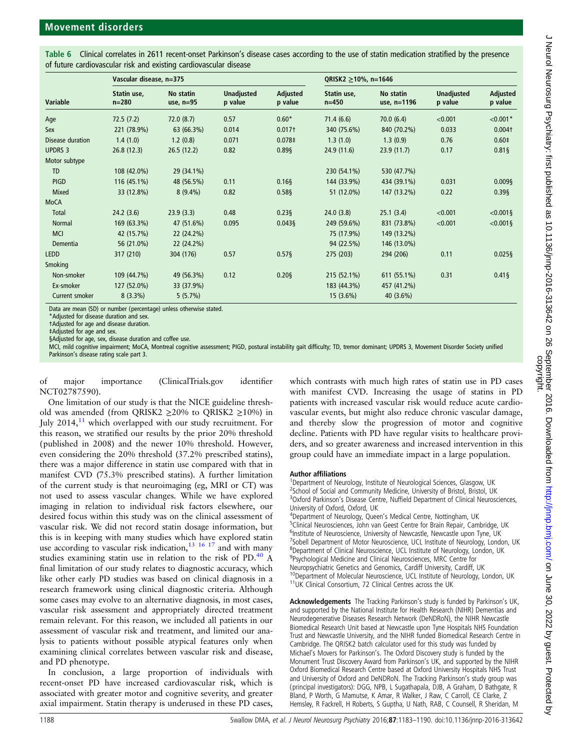<span id="page-5-0"></span>Table 6 Clinical correlates in 2611 recent-onset Parkinson's disease cases according to the use of statin medication stratified by the presence of future cardiovascular risk and existing cardiovascular disease

| Variable         | Vascular disease, n=375  |                          |                              |                     | QRISK2 $\geq$ 10%, n=1646 |                          |                              |                     |
|------------------|--------------------------|--------------------------|------------------------------|---------------------|---------------------------|--------------------------|------------------------------|---------------------|
|                  | Statin use,<br>$n = 280$ | No statin<br>use, $n=95$ | <b>Unadjusted</b><br>p value | Adjusted<br>p value | Statin use,<br>$n = 450$  | No statin<br>use, n=1196 | <b>Unadjusted</b><br>p value | Adjusted<br>p value |
| Age              | 72.5(7.2)                | 72.0(8.7)                | 0.57                         | $0.60*$             | 71.4(6.6)                 | 70.0(6.4)                | < 0.001                      | $< 0.001*$          |
| Sex              | 221 (78.9%)              | 63 (66.3%)               | 0.014                        | 0.017 <sup>†</sup>  | 340 (75.6%)               | 840 (70.2%)              | 0.033                        | 0.004 <sub>†</sub>  |
| Disease duration | 1.4(1.0)                 | 1.2(0.8)                 | 0.071                        | 0.078‡              | 1.3(1.0)                  | 1.3(0.9)                 | 0.76                         | 0.60 <sup>‡</sup>   |
| <b>UPDRS 3</b>   | 26.8(12.3)               | 26.5(12.2)               | 0.82                         | $0.89$ §            | 24.9 (11.6)               | 23.9(11.7)               | 0.17                         | $0.81\$             |
| Motor subtype    |                          |                          |                              |                     |                           |                          |                              |                     |
| <b>TD</b>        | 108 (42.0%)              | 29 (34.1%)               |                              |                     | 230 (54.1%)               | 530 (47.7%)              |                              |                     |
| PIGD             | 116 (45.1%)              | 48 (56.5%)               | 0.11                         | $0.16$ §            | 144 (33.9%)               | 434 (39.1%)              | 0.031                        | $0.009$ §           |
| <b>Mixed</b>     | 33 (12.8%)               | $8(9.4\%)$               | 0.82                         | $0.58$ §            | 51 (12.0%)                | 147 (13.2%)              | 0.22                         | $0.39$ §            |
| <b>MoCA</b>      |                          |                          |                              |                     |                           |                          |                              |                     |
| Total            | 24.2(3.6)                | 23.9(3.3)                | 0.48                         | $0.23\S$            | 24.0(3.8)                 | 25.1(3.4)                | < 0.001                      | $< 0.001$ §         |
| Normal           | 169 (63.3%)              | 47 (51.6%)               | 0.095                        | $0.043$ §           | 249 (59.6%)               | 831 (73.8%)              | < 0.001                      | $< 0.001$ §         |
| <b>MCI</b>       | 42 (15.7%)               | 22 (24.2%)               |                              |                     | 75 (17.9%)                | 149 (13.2%)              |                              |                     |
| Dementia         | 56 (21.0%)               | 22 (24.2%)               |                              |                     | 94 (22.5%)                | 146 (13.0%)              |                              |                     |
| <b>LEDD</b>      | 317 (210)                | 304 (176)                | 0.57                         | $0.57$ §            | 275 (203)                 | 294 (206)                | 0.11                         | $0.025$ §           |
| Smoking          |                          |                          |                              |                     |                           |                          |                              |                     |
| Non-smoker       | 109 (44.7%)              | 49 (56.3%)               | 0.12                         | $0.20$ §            | 215 (52.1%)               | 611 (55.1%)              | 0.31                         | $0.41\$             |
| Ex-smoker        | 127 (52.0%)              | 33 (37.9%)               |                              |                     | 183 (44.3%)               | 457 (41.2%)              |                              |                     |
| Current smoker   | $8(3.3\%)$               | 5(5.7%)                  |                              |                     | 15(3.6%)                  | 40 $(3.6\%)$             |                              |                     |

Data are mean (SD) or number (percentage) unless otherwise stated.

\*Adjusted for disease duration and sex.

†Adjusted for age and disease duration.

‡Adjusted for age and sex.

§Adjusted for age, sex, disease duration and coffee use.

MCI, mild cognitive impairment; MoCA, Montreal cognitive assessment; PIGD, postural instability gait difficulty; TD, tremor dominant; UPDRS 3, Movement Disorder Society unified Parkinson's disease rating scale part 3.

of major importance (ClinicalTrials.gov identifier NCT02787590).

One limitation of our study is that the NICE guideline threshold was amended (from QRISK2  $\geq$ 20% to QRISK2  $\geq$ 10%) in July 2014,<sup>[11](#page-6-0)</sup> which overlapped with our study recruitment. For this reason, we stratified our results by the prior 20% threshold (published in 2008) and the newer 10% threshold. However, even considering the 20% threshold (37.2% prescribed statins), there was a major difference in statin use compared with that in manifest CVD (75.3% prescribed statins). A further limitation of the current study is that neuroimaging (eg, MRI or CT) was not used to assess vascular changes. While we have explored imaging in relation to individual risk factors elsewhere, our desired focus within this study was on the clinical assessment of vascular risk. We did not record statin dosage information, but this is in keeping with many studies which have explored statin use according to vascular risk indication,  $13 \times 16 \times 17$  and with many studies examining statin use in relation to the risk of  $PD<sup>40</sup>$ . final limitation of our study relates to diagnostic accuracy, which like other early PD studies was based on clinical diagnosis in a research framework using clinical diagnostic criteria. Although some cases may evolve to an alternative diagnosis, in most cases, vascular risk assessment and appropriately directed treatment remain relevant. For this reason, we included all patients in our assessment of vascular risk and treatment, and limited our analysis to patients without possible atypical features only when examining clinical correlates between vascular risk and disease, and PD phenotype.

In conclusion, a large proportion of individuals with recent-onset PD have increased cardiovascular risk, which is associated with greater motor and cognitive severity, and greater axial impairment. Statin therapy is underused in these PD cases,

which contrasts with much high rates of statin use in PD cases with manifest CVD. Increasing the usage of statins in PD patients with increased vascular risk would reduce acute cardiovascular events, but might also reduce chronic vascular damage, and thereby slow the progression of motor and cognitive decline. Patients with PD have regular visits to healthcare providers, and so greater awareness and increased intervention in this group could have an immediate impact in a large population.

#### Author affiliations <sup>1</sup>

<sup>1</sup>Department of Neurology, Institute of Neurological Sciences, Glasgow, UK <sup>2</sup>School of Social and Community Medicine, University of Bristol, Bristol, UK <sup>3</sup>Oxford Parkinson's Disease Centre, Nuffield Department of Clinical Neurosciences, University of Oxford, Oxford, UK

4Department of Neurology, Queen's Medical Centre, Nottingham, UK<br><sup>5</sup>Clinical Neurosciences, John van Geest Centre for Brain Bonair, Cam <sup>5</sup>Clinical Neurosciences, John van Geest Centre for Brain Repair, Cambridge, UK <sup>6</sup>Institute of Neuroscience, University of Newcastle, Newcastle upon Tyne, UK <sup>7</sup>Sobell Department of Motor Neuroscience, UCL Institute of Neurology, London, UK <sup>8</sup>Department of Clinical Neuroscience, UCL Institute of Neurology, London, UK <sup>9</sup>Psychological Medicine and Clinical Neurosciences, MRC Centre for Neuropsychiatric Genetics and Genomics, Cardiff University, Cardiff, UK <sup>10</sup>Department of Molecular Neuroscience, UCL Institute of Neurology, London, UK <sup>11</sup>UK Clinical Consortium, 72 Clinical Centres across the UK

Acknowledgements The Tracking Parkinson's study is funded by Parkinson's UK, and supported by the National Institute for Health Research (NIHR) Dementias and Neurodegenerative Diseases Research Network (DeNDRoN), the NIHR Newcastle Biomedical Research Unit based at Newcastle upon Tyne Hospitals NHS Foundation Trust and Newcastle University, and the NIHR funded Biomedical Research Centre in Cambridge. The QRISK2 batch calculator used for this study was funded by Michael's Movers for Parkinson's. The Oxford Discovery study is funded by the Monument Trust Discovery Award from Parkinson's UK, and supported by the NIHR Oxford Biomedical Research Centre based at Oxford University Hospitals NHS Trust and University of Oxford and DeNDRoN. The Tracking Parkinson's study group was (principal investigators): DGG, NPB, L Sugathapala, DJB, A Graham, D Bathgate, R Bland, P Worth, G Mamutse, K Amar, R Walker, J Raw, C Carroll, CE Clarke, Z Hemsley, R Fackrell, H Roberts, S Guptha, U Nath, RAB, C Counsell, R Sheridan, M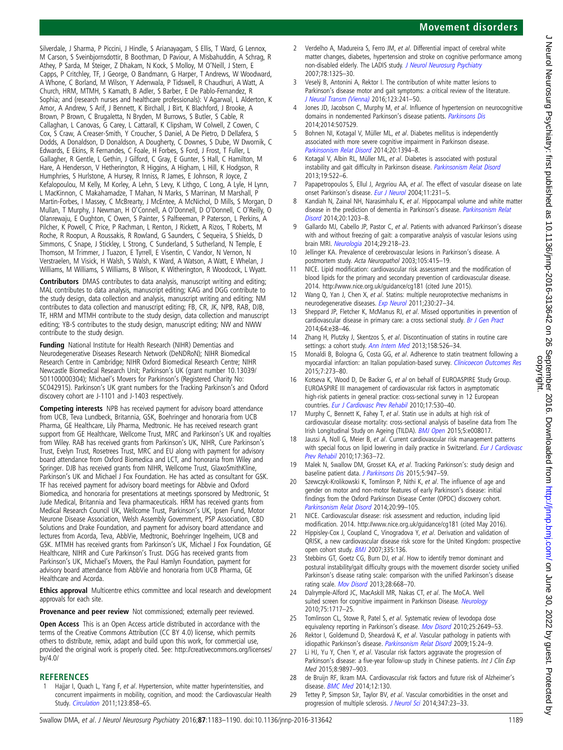# Movement disorders

<span id="page-6-0"></span>Silverdale, J Sharma, P Piccini, J Hindle, S Arianayagam, S Ellis, T Ward, G Lennox, M Carson, S Sveinbjornsdottir, B Boothman, D Paviour, A Misbahuddin, A Schrag, R Athey, P Sarda, M Steiger, Z Dhakam, N Kock, S Molloy, M O'Neill, J Stern, E Capps, P Critchley, TF, J George, O Bandmann, G Harper, T Andrews, W Woodward, A Whone, C Borland, M Wilson, Y Adenwala, P Tidswell, R Chaudhuri, A Watt, A Church, HRM, MTMH, S Kamath, B Adler, S Barber, E De Pablo-Fernandez, R Sophia; and (research nurses and healthcare professionals): V Agarwal, L Alderton, K Amor, A Andrew, S Arif, J Bennett, K Birchall, J Birt, K Blachford, J Brooke, A Brown, P Brown, C Brugaletta, N Bryden, M Burrows, S Butler, S Cable, R Callaghan, L Canovas, G Carey, L Cattarall, K Clipsham, W Colwell, Z Cowen, C Cox, S Craw, A Creaser-Smith, Y Croucher, S Daniel, A De Pietro, D Dellafera, S Dodds, A Donaldson, D Donaldson, A Dougherty, C Downes, S Dube, W Dwornik, C Edwards, E Ekins, R Fernandes, C Foale, H Forbes, S Ford, J Frost, T Fuller, L Gallagher, R Gentle, L Gethin, J Gilford, C Gray, E Gunter, S Hall, C Hamilton, M Hare, A Henderson, V Hetherington, R Higgins, A Higham, L Hill, K Hodgson, R Humphries, S Hurlstone, A Hursey, R Inniss, R James, E Johnson, R Joyce, Z Kefalopoulou, M Kelly, M Korley, A Lehn, S Levy, K Lithgo, C Long, A Lyle, H Lynn, L MacKinnon, C Makahamadze, T Mahan, N Marks, S Marrinan, M Marshall, P Martin-Forbes, I Massey, C McBrearty, J McEntee, A McNichol, D Mills, S Morgan, D Mullan, T Murphy, J Newman, H O'Connell, A O'Donnell, D O'Donnell, C O'Reilly, O Olanrewaju, E Oughton, C Owen, S Painter, S Palfreeman, P Paterson, L Perkins, A Pilcher, K Powell, C Price, P Rachman, L Renton, J Rickett, A Rizos, T Roberts, M Roche, R Roopun, A Roussakis, R Rowland, G Saunders, C Sequeira, S Shields, D Simmons, C Snape, J Stickley, L Strong, C Sunderland, S Sutherland, N Temple, E Thomson, M Trimmer, J Tuazon, E Tyrrell, E Visentin, C Vandor, N Vernon, N Verstraelen, M Visick, H Walsh, S Walsh, K Ward, A Watson, A Watt, E Whelan, J Williams, M Williams, S Williams, B Wilson, K Witherington, R Woodcock, L Wyatt.

Contributors DMAS contributes to data analysis, manuscript writing and editing; MAL contributes to data analysis, manuscript editing; KAG and DGG contribute to the study design, data collection and analysis, manuscript writing and editing; NM contributes to data collection and manuscript editing; FB, CR, JK, NPB, RAB, DJB, TF, HRM and MTMH contribute to the study design, data collection and manuscript editing; YB-S contributes to the study design, manuscript editing; NW and NWW contribute to the study design.

Funding National Institute for Health Research (NIHR) Dementias and Neurodegenerative Diseases Research Network (DeNDRoN); NIHR Biomedical Research Centre in Cambridge; NIHR Oxford Biomedical Research Centre; NIHR Newcastle Biomedical Research Unit; Parkinson's UK (grant number 10.13039/ 501100000304); Michael's Movers for Parkinson's (Registered Charity No: SC042915). Parkinson's UK grant numbers for the Tracking Parkinson's and Oxford discovery cohort are J-1101 and J-1403 respectively.

Competing interests NPB has received payment for advisory board attendance from UCB, Teva Lundbeck, Britannia, GSK, Boehringer and honoraria from UCB Pharma, GE Healthcare, Lily Pharma, Medtronic. He has received research grant support from GE Healthcare, Wellcome Trust, MRC and Parkinson's UK and royalties from Wiley. RAB has received grants from Parkinson's UK, NIHR, Cure Parkinson's Trust, Evelyn Trust, Rosetrees Trust, MRC and EU along with payment for advisory board attendance from Oxford Biomedica and LCT, and honoraria from Wiley and Springer. DJB has received grants from NIHR, Wellcome Trust, GlaxoSmithKline, Parkinson's UK and Michael J Fox Foundation. He has acted as consultant for GSK. TF has received payment for advisory board meetings for Abbvie and Oxford Biomedica, and honoraria for presentations at meetings sponsored by Medtronic, St Jude Medical, Britannia and Teva pharmaceuticals. HRM has received grants from Medical Research Council UK, Wellcome Trust, Parkinson's UK, Ipsen Fund, Motor Neurone Disease Association, Welsh Assembly Government, PSP Association, CBD Solutions and Drake Foundation, and payment for advisory board attendance and lectures from Acorda, Teva, AbbVie, Medtronic, Boehringer Ingelheim, UCB and GSK. MTMH has received grants from Parkinson's UK, Michael J Fox Foundation, GE Healthcare, NIHR and Cure Parkinson's Trust. DGG has received grants from Parkinson's UK, Michael's Movers, the Paul Hamlyn Foundation, payment for advisory board attendance from AbbVie and honoraria from UCB Pharma, GE Healthcare and Acorda.

Ethics approval Multicentre ethics committee and local research and development approvals for each site.

Provenance and peer review Not commissioned; externally peer reviewed.

Open Access This is an Open Access article distributed in accordance with the terms of the Creative Commons Attribution (CC BY 4.0) license, which permits others to distribute, remix, adapt and build upon this work, for commercial use, provided the original work is properly cited. See: [http://creativecommons.org/licenses/](http://creativecommons.org/licenses/by/4.0/) [by/4.0/](http://creativecommons.org/licenses/by/4.0/)

#### **REFERENCES**

1 Hajjar I, Quach L, Yang F, et al. Hypertension, white matter hyperintensities, and concurrent impairments in mobility, cognition, and mood: the Cardiovascular Health Study. [Circulation](http://dx.doi.org/10.1161/CIRCULATIONAHA.110.978114) 2011;123:858-65.

- 2 Verdelho A, Madureira S, Ferro JM, et al. Differential impact of cerebral white matter changes, diabetes, hypertension and stroke on cognitive performance among non-disabled elderly. The LADIS study[. J Neurol Neurosurg Psychiatry](http://dx.doi.org/10.1136/jnnp.2006.110361) 2007;78:1325–30.
- Veselý B, Antonini A, Rektor I. The contribution of white matter lesions to Parkinson's disease motor and gait symptoms: a critical review of the literature. [J Neural Transm \(Vienna\)](http://dx.doi.org/10.1007/s00702-015-1470-9) 2016;123:241–50.
- 4 Jones JD, Jacobson C, Murphy M, et al. Influence of hypertension on neurocognitive domains in nondemented Parkinson's disease patients. [Parkinsons Dis](http://dx.doi.org/10.1155/2014/507529) 2014;2014:507529.
- Bohnen NI, Kotagal V, Müller ML, et al. Diabetes mellitus is independently associated with more severe cognitive impairment in Parkinson disease. [Parkinsonism Relat Disord](http://dx.doi.org/10.1016/j.parkreldis.2014.10.008) 2014;20:1394–8.
- 6 Kotagal V, Albin RL, Müller ML, et al. Diabetes is associated with postural instability and gait difficulty in Parkinson disease. [Parkinsonism Relat Disord](http://dx.doi.org/10.1016/j.parkreldis.2013.01.016) 2013;19:522–6.
- Papapetropoulos S, Ellul J, Argyriou AA, et al. The effect of vascular disease on late onset Parkinson's disease. [Eur J Neurol](http://dx.doi.org/10.1046/j.1468-1331.2003.00748.x) 2004;11:231–5.
- 8 Kandiah N, Zainal NH, Narasimhalu K, et al. Hippocampal volume and white matter disease in the prediction of dementia in Parkinson's disease. [Parkinsonism Relat](http://dx.doi.org/10.1016/j.parkreldis.2014.08.024) [Disord](http://dx.doi.org/10.1016/j.parkreldis.2014.08.024) 2014;20:1203–8.
- Gallardo MJ, Cabello JP, Pastor C, et al. Patients with advanced Parkinson's disease with and without freezing of gait: a comparative analysis of vascular lesions using brain MRI. [Neurologia](http://dx.doi.org/10.1016/j.nrl.2013.02.014) 2014;29:218-23.
- Jellinger KA. Prevalence of cerebrovascular lesions in Parkinson's disease. A postmortem study. Acta Neuropathol 2003;105:415–19.
- 11 NICE. Lipid modification: cardiovascular risk assessment and the modification of blood lipids for the primary and secondary prevention of cardiovascular disease. 2014.<http://www.nice.org.uk/guidance/cg181> (cited June 2015).
- 12 Wang Q, Yan J, Chen X, et al. Statins: multiple neuroprotective mechanisms in neurodegenerative diseases. [Exp Neurol](http://dx.doi.org/10.1016/j.expneurol.2010.04.006) 2011;230:27-34.
- 13 Sheppard JP, Fletcher K, McManus RJ, et al. Missed opportunities in prevention of cardiovascular disease in primary care: a cross sectional study. [Br J Gen Pract](http://dx.doi.org/10.3399/bjgp14X676447) 2014;64:e38–46.
- 14 Zhang H, Plutzky J, Skentzos S, et al. Discontinuation of statins in routine care settings: a cohort study. [Ann Intern Med](http://dx.doi.org/10.7326/0003-4819-158-7-201304020-00004) 2013;158:526-34.
- 15 Monaldi B, Bologna G, Costa GG, et al. Adherence to statin treatment following a myocardial infarction: an Italian population-based survey. [Clinicoecon Outcomes Res](http://dx.doi.org/10.2147/CEOR.S70936) 2015;7:273–80.
- 16 Kotseva K, Wood D, De Backer G, et al on behalf of EUROASPIRE Study Group. EUROASPIRE III management of cardiovascular risk factors in asymptomatic high-risk patients in general practice: cross-sectional survey in 12 European countries. [Eur J Cardiovasc Prev Rehabil](http://dx.doi.org/10.1097/HJR.0b013e3283383f30) 2010;17:530–40.
- 17 Murphy C, Bennett K, Fahey T, et al. Statin use in adults at high risk of cardiovascular disease mortality: cross-sectional analysis of baseline data from The Irish Longitudinal Study on Ageing (TILDA). [BMJ Open](http://dx.doi.org/10.1136/bmjopen-2015-008017) 2015;5:e008017.
- 18 Jaussi A, Noll G, Meier B, et al. Current cardiovascular risk management patterns with special focus on lipid lowering in daily practice in Switzerland. [Eur J Cardiovasc](http://dx.doi.org/10.1097/HJR.0b013e328333c1d9) [Prev Rehabil](http://dx.doi.org/10.1097/HJR.0b013e328333c1d9) 2010;17:363–72.
- 19 Malek N, Swallow DM, Grosset KA, et al. Tracking Parkinson's: study design and baseline patient data. [J Parkinsons Dis](http://dx.doi.org/10.3233/JPD-150662) 2015;5:947-59.
- 20 Szewczyk-Krolikowski K, Tomlinson P, Nithi K, et al. The influence of age and gender on motor and non-motor features of early Parkinson's disease: initial findings from the Oxford Parkinson Disease Center (OPDC) discovery cohort. [Parkinsonism Relat Disord](http://dx.doi.org/10.1016/j.parkreldis.2013.09.025) 2014;20:99–105.
- 21 NICE. Cardiovascular disease: risk assessment and reduction, including lipid modification. 2014.<http://www.nice.org.uk/guidance/cg181> (cited May 2016).
- 22 Hippisley-Cox J, Coupland C, Vinogradova Y, et al. Derivation and validation of QRISK, a new cardiovascular disease risk score for the United Kingdom: prospective open cohort study. **[BMJ](http://dx.doi.org/10.1136/bmj.39261.471806.55)** 2007;335:136.
- 23 Stebbins GT, Goetz CG, Burn DJ, et al. How to identify tremor dominant and postural instability/gait difficulty groups with the movement disorder society unified Parkinson's disease rating scale: comparison with the unified Parkinson's disease rating scale. [Mov Disord](http://dx.doi.org/10.1002/mds.25383) 2013;28:668-70.
- 24 Dalrymple-Alford JC, MacAskill MR, Nakas CT, et al. The MoCA. Well suited screen for cognitive impairment in Parkinson Disease[. Neurology](http://dx.doi.org/10.1212/WNL.0b013e3181fc29c9) 2010;75:1717–25.
- 25 Tomlinson CL, Stowe R, Patel S, et al. Systematic review of levodopa dose equivalency reporting in Parkinson's disease. [Mov Disord](http://dx.doi.org/10.1002/mds.23429) 2010;25:2649–53.
- 26 Rektor I, Goldemund D, Sheardová K, et al. Vascular pathology in patients with idiopathic Parkinson's disease. [Parkinsonism Relat Disord](http://dx.doi.org/10.1016/j.parkreldis.2008.02.007) 2009;15:24-9.
- 27 Li HJ, Yu Y, Chen Y, et al. Vascular risk factors aggravate the progression of Parkinson's disease: a five-year follow-up study in Chinese patients. Int J Clin Exp Med 2015;8:9897–903.
- 28 de Bruijn RF, Ikram MA. Cardiovascular risk factors and future risk of Alzheimer's disease. [BMC Med](http://dx.doi.org/10.1186/s12916-014-0130-5) 2014;12:130.
- 29 Tettey P, Simpson SJr, Taylor BV, et al. Vascular comorbidities in the onset and progression of multiple sclerosis. [J Neurol Sci](http://dx.doi.org/10.1016/j.jns.2014.10.020) 2014;347:23-33.